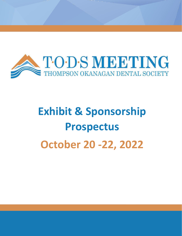

# **Exhibit & Sponsorship Prospectus October 20 -22, 2022**

TODS 2020 Meeting Management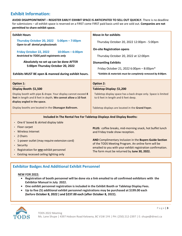## **Exhibit Information:**

**AVOID DISAPPOINTMENT – REGISTER EARLY! EXHIBIT SPACE IS ANTICIPATED TO SELL OUT QUICKLY.** There is no deadline for submissions – all exhibit space is reserved on a FIRST come FIRST paid basis until we are sold out. **Companies are not permitted to share exhibit space.** 

| <b>Exhibit Hours</b>                                                                                                                                           | <b>Move-In for exhibits</b>                                                                                                                                                   |  |  |  |  |
|----------------------------------------------------------------------------------------------------------------------------------------------------------------|-------------------------------------------------------------------------------------------------------------------------------------------------------------------------------|--|--|--|--|
| Thursday October 20, 2022 5:00pm - 7:00pm<br>Open to all dental professionals                                                                                  | Thursday October 20, 2022 12:00pm - 5:00pm<br><b>On-site Registration opens</b><br>Thursday October 20, 2022 at 12:00pm                                                       |  |  |  |  |
| Friday October 22, 2022<br>$10:00am - 6:00pm$<br>Restricted to TODS paid registrants only                                                                      |                                                                                                                                                                               |  |  |  |  |
| Absolutely no set up can be done AFTER                                                                                                                         | <b>Dismantling Exhibits</b>                                                                                                                                                   |  |  |  |  |
| 5:00pm Thursday October 20, 2022                                                                                                                               | Friday October 21, 2022 6:00pm - 8:00pm*                                                                                                                                      |  |  |  |  |
| Exhibits MUST BE open & manned during exhibit hours.                                                                                                           | *Exhibits & materials must be completely removed by 8:00pm.                                                                                                                   |  |  |  |  |
| <b>Option 1:</b>                                                                                                                                               | <b>Option 2:</b>                                                                                                                                                              |  |  |  |  |
| Display Booth: \$1,500                                                                                                                                         | Tabletop Display: \$1,200                                                                                                                                                     |  |  |  |  |
| Display booth with pipe & drape. Your display cannot exceed 8<br>feet in length and 8 feet in depth. We cannot allow a 10 foot<br>display angled in the space. | Tabletop display space has a back drape only. Space is limited<br>to 6 feet in length and 6 feet deep.                                                                        |  |  |  |  |
| Display booths are located in the Okanagan Ballroom.                                                                                                           | Tabletop displays are located in the Grand Foyer.                                                                                                                             |  |  |  |  |
| Included In The Rental Fee For Tabletop Displays And Display Booths:                                                                                           |                                                                                                                                                                               |  |  |  |  |
| • One 6' boxed & skirted display table                                                                                                                         |                                                                                                                                                                               |  |  |  |  |
| Floor carpet                                                                                                                                                   | PLUS: coffee breaks, mid-morning snack, hot buffet lunch<br>and Friday trade show reception.                                                                                  |  |  |  |  |
| <b>Wireless Internet</b>                                                                                                                                       |                                                                                                                                                                               |  |  |  |  |
| 2 Chairs                                                                                                                                                       |                                                                                                                                                                               |  |  |  |  |
| 1-power outlet (may require extension cord)                                                                                                                    | AND Complimentary inclusion in the Buyers Guide Section<br>of the TODS Meeting Program. An online form will be<br>emailed to you with your exhibit registration confirmation. |  |  |  |  |
| • Security                                                                                                                                                     |                                                                                                                                                                               |  |  |  |  |
| Registration for one exhibit personnel                                                                                                                         | The form must be returned by June 30, 2022.                                                                                                                                   |  |  |  |  |
| • Existing recessed ceiling lighting only                                                                                                                      |                                                                                                                                                                               |  |  |  |  |

## **Exhibitor Badges And Additional Exhibit Personnel**

#### **NEW FOR 2022:**

- **Registration of booth personnel will be done via a link emailed to all confirmed exhibitors with the Exhibitor Manual in July 2022.**
- **One exhibit personnel registration is included in the Exhibit Booth or Tabletop Display Fees.**
- **Up to five (5) additional exhibit personnel registrations may be purchased at \$199.00 each (before October 8, 2022 ) and \$237.00 each (after October 8, 2022).**

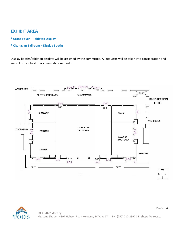## **EXHIBIT AREA**

- **\* Grand Foyer – Tabletop Display**
- **\* Okanagan Ballroom Display Booths**

Display booths/tabletop displays will be assigned by the committee. All requests will be taken into consideration and we will do our best to accommodate requests.



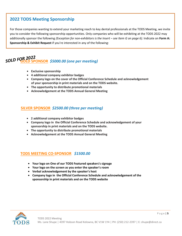## **2022 TODS Meeting Sponsorship**

For those companies wanting to extend your marketing reach to key dental professionals at the TODS Meeting, we invite you to consider the following sponsorship opportunities. Only companies who will be exhibiting at the TODS 2022 may additionally sponsor the following *(Exception for non-exhibitors is the Insert – see Item G on page 6).* Indicate on **Form A: Sponsorship & Exhibit Request** if you're interested in any of the following:

## **GOLD SPONSOR** *\$5000.00 (one per meeting) SOLD FOR 2022*

- **Exclusive sponsorship**
- **4 additional company exhibitor badges**
- **Company logo on the cover of the Official Conference Schedule and acknowledgement of your sponsorship in print materials and on the TODS website.**
- **The opportunity to distribute promotional materials**
- **Acknowledgement at the TODS Annual General Meeting**

#### **SILVER SPONSOR** *\$2500.00 (three per meeting)*

- **2 additional company exhibitor badges**
- **Company logo in the Official Conference Schedule and acknowledgement of your sponsorship in print materials and on the TODS website.**
- **The opportunity to distribute promotional materials**
- **Acknowledgement at the TODS Annual General Meeting**

## **TODS MEETING CO-SPONSOR** *\$1500.00*

- **Your logo on One of our TODS Featured speaker's signage**
- **Your logo on the screen as you enter the speaker's room**
- **Verbal acknowledgement by the speaker's host**
- **Company logo in the Official Conference Schedule and acknowledgement of the sponsorship in print materials and on the TODS website**

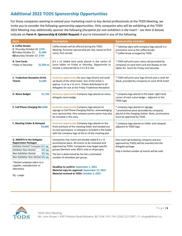# **Additional 2022 TODS Sponsorship Opportunities**

For those companies wanting to extend your marketing reach to key dental professionals at the TODS Meeting, we invite you to consider the following sponsorship opportunities. Only companies who will be exhibiting at the TODS 2022 Meeting may additionally sponsor the following (*Exception for non-exhibitors is the Insert – see Item G below*). Indicate on **Form A**: **Sponsorship & Exhibit Request** if you're interested in any of the following:

| Item                                                                                                                                                                                                                                                                                                          | <b>Description</b>                                                                                                                                                                                                                                                                                                                                                                                                                      | <b>Sponsorship includes:</b>                                                                                                                                   |  |
|---------------------------------------------------------------------------------------------------------------------------------------------------------------------------------------------------------------------------------------------------------------------------------------------------------------|-----------------------------------------------------------------------------------------------------------------------------------------------------------------------------------------------------------------------------------------------------------------------------------------------------------------------------------------------------------------------------------------------------------------------------------------|----------------------------------------------------------------------------------------------------------------------------------------------------------------|--|
| A. Coffee Breaks<br>i) Thursday October 20 \$750<br>ii) Friday October 21<br>\$1,000<br>iii)Saturday October 22 \$750                                                                                                                                                                                         | Coffee breaks will be offered during the TODS<br>Meeting. Exclusive sponsorship per day, based on first-<br>come, first-served.                                                                                                                                                                                                                                                                                                         | * Tabletop signs with company logo placed in a<br>prominent area at the coffee breaks<br>* Coffee break arranged by TODS                                       |  |
| <b>B. Tent Cards</b><br>Friday or Saturday<br>\$1,500 ea.                                                                                                                                                                                                                                                     | 8.5 x 11 folded tent cards placed in the centre of<br>lunch tables on Friday or Saturday. Opportunity to<br>include a coloured Ad on 5.5 x 8.5 size                                                                                                                                                                                                                                                                                     | * TODS will print your colour Ad (provided by<br>company) on each tent card and display on the<br>tables for lunch for Friday and Saturday                     |  |
| <b>C. Tradeshow Reception Drink</b><br><b>Tickets</b><br>\$1,500                                                                                                                                                                                                                                              | <b>Exclusive opportunity for your logo (front) and small</b><br>ad (back) of the drink ticket. Size of the ticket is<br>approx. 4 cm w x 12 cm h. Tickets distributed to all<br>delegates for use at the Friday Tradeshow Reception                                                                                                                                                                                                     | * TODS will print your logo (front) and a small Ad<br>(back; provided by company) on each drink ticket                                                         |  |
| \$1,750<br>D. Name Badges                                                                                                                                                                                                                                                                                     | <b>Exclusive opportunity Company logo placed on every</b><br>delegate name badge.                                                                                                                                                                                                                                                                                                                                                       | * company logo placed in the lower right hand<br>corner of each name badge - adjacent to the<br><b>TODS</b> logo                                               |  |
| E. Cell Phone Charging Stn \$600                                                                                                                                                                                                                                                                              | <b>Exclusive opportunity Company logo placed on</b><br>signage at Cell Phone Charging Station, acknowledging<br>your sponsorship. One company promo piece may also<br>be included in this area.                                                                                                                                                                                                                                         | * company logo placed on signage<br>* promotional piece (provided by company)<br>placed at the charging station. Note, promo piece<br>must be approved by TODS |  |
| F. Meeting Folder & Notepad<br>\$3,000                                                                                                                                                                                                                                                                        | <b>Exclusive opportunity Company logo placed on the</b><br>front and back of the meeting folder and handed out<br>to each participant. A notepad is included in the folder<br>with the company logo at the to of the meeting pad.                                                                                                                                                                                                       | * company logo placed on folder and notepad,<br>adjacent to TODS logo.                                                                                         |  |
| G. INSERTS in the Delegate<br><b>Registration Packages</b><br>Exhibitor Dental* Company \$1/ pg.<br><b>Exhibitor Non-Dental</b><br>\$2/pg.<br>Non-Exhibitor Dental<br>\$2/ pg.<br>Non-Exhibitor Non-Dental \$4/ pg.<br>*Dental company refers to a<br>supplier, manufacturer or<br>laboratory<br>$Pq. = page$ | Companies may insert one double-sided 8.5 x 11<br>promotional piece. All inserts to be reviewed and<br>approved by TODS. Companies may target specific<br>groups (Dentists only; RDH's only or all groups).<br>The fee is determined by the fee x estimated<br>number of attendees per group.<br>Deadline to confirm: September 1, 2022<br>Material copy for approval: September 15, 2022<br>Material received at TODS: October 2, 2022 | One insert (provided by company and pre-<br>approved by TODS) will be inserted into the<br>delegate package<br>Only a limited number of inserts will be sold.  |  |

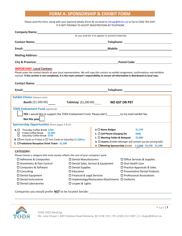## **FORM A: SPONSORSHIP & EXHIBIT FORM**

Please send this form, along with your payment details (Form B) via email to (shupe@direct.ca) or fax to (250) 764-2247. IT IS NOT POSSIBLE TO ACCEPT REGISTRATIONS BY TELEPHONE.

|                                                                                                                                                                                                                                | As you wish for it to appear in printed materials                                                                                 |                                                                                                                                                                                                                                                                                                                                                                                                                                                                                                                                                                                                                                                                                                                                                 |  |  |
|--------------------------------------------------------------------------------------------------------------------------------------------------------------------------------------------------------------------------------|-----------------------------------------------------------------------------------------------------------------------------------|-------------------------------------------------------------------------------------------------------------------------------------------------------------------------------------------------------------------------------------------------------------------------------------------------------------------------------------------------------------------------------------------------------------------------------------------------------------------------------------------------------------------------------------------------------------------------------------------------------------------------------------------------------------------------------------------------------------------------------------------------|--|--|
|                                                                                                                                                                                                                                |                                                                                                                                   |                                                                                                                                                                                                                                                                                                                                                                                                                                                                                                                                                                                                                                                                                                                                                 |  |  |
|                                                                                                                                                                                                                                |                                                                                                                                   |                                                                                                                                                                                                                                                                                                                                                                                                                                                                                                                                                                                                                                                                                                                                                 |  |  |
|                                                                                                                                                                                                                                |                                                                                                                                   |                                                                                                                                                                                                                                                                                                                                                                                                                                                                                                                                                                                                                                                                                                                                                 |  |  |
|                                                                                                                                                                                                                                |                                                                                                                                   |                                                                                                                                                                                                                                                                                                                                                                                                                                                                                                                                                                                                                                                                                                                                                 |  |  |
| City & Province: Electronic City & Province: Electronic City & Province: Electronic City & Province: Electronic City & Province: Electronic City & Province: Electronic City & Province: Electronic City & Province: Electroni |                                                                                                                                   |                                                                                                                                                                                                                                                                                                                                                                                                                                                                                                                                                                                                                                                                                                                                                 |  |  |
|                                                                                                                                                                                                                                |                                                                                                                                   |                                                                                                                                                                                                                                                                                                                                                                                                                                                                                                                                                                                                                                                                                                                                                 |  |  |
|                                                                                                                                                                                                                                |                                                                                                                                   |                                                                                                                                                                                                                                                                                                                                                                                                                                                                                                                                                                                                                                                                                                                                                 |  |  |
|                                                                                                                                                                                                                                |                                                                                                                                   |                                                                                                                                                                                                                                                                                                                                                                                                                                                                                                                                                                                                                                                                                                                                                 |  |  |
|                                                                                                                                                                                                                                |                                                                                                                                   |                                                                                                                                                                                                                                                                                                                                                                                                                                                                                                                                                                                                                                                                                                                                                 |  |  |
|                                                                                                                                                                                                                                |                                                                                                                                   |                                                                                                                                                                                                                                                                                                                                                                                                                                                                                                                                                                                                                                                                                                                                                 |  |  |
|                                                                                                                                                                                                                                |                                                                                                                                   |                                                                                                                                                                                                                                                                                                                                                                                                                                                                                                                                                                                                                                                                                                                                                 |  |  |
|                                                                                                                                                                                                                                |                                                                                                                                   | <b>NO GST OR PST</b>                                                                                                                                                                                                                                                                                                                                                                                                                                                                                                                                                                                                                                                                                                                            |  |  |
| Sponsorship Opportunities (from pages 5 & 6):                                                                                                                                                                                  |                                                                                                                                   |                                                                                                                                                                                                                                                                                                                                                                                                                                                                                                                                                                                                                                                                                                                                                 |  |  |
|                                                                                                                                                                                                                                | $D. \Box$ Name Badges                                                                                                             | \$1,750                                                                                                                                                                                                                                                                                                                                                                                                                                                                                                                                                                                                                                                                                                                                         |  |  |
| □ Friday Coffee Break \$1,000<br>Saturday Coffee Break \$750<br>□                                                                                                                                                              |                                                                                                                                   | $E.$ $\square$ Cell Phone Charging Stn<br>\$600                                                                                                                                                                                                                                                                                                                                                                                                                                                                                                                                                                                                                                                                                                 |  |  |
| <b>B.</b> □Tent Cards on Friday or □ Tent Cards on Saturday \$1,500 ea.                                                                                                                                                        |                                                                                                                                   | F. □ Meeting Folder & Notepad<br>\$3,000                                                                                                                                                                                                                                                                                                                                                                                                                                                                                                                                                                                                                                                                                                        |  |  |
|                                                                                                                                                                                                                                | G. $\Box$ Inserts (Exhibit Manager will contact you for pricing info)<br>H. OMeeting Sponsorship (circle) \$5,000 \$2,500 \$1,500 |                                                                                                                                                                                                                                                                                                                                                                                                                                                                                                                                                                                                                                                                                                                                                 |  |  |
| $\square$ Dental Supplies<br>$\square$ Education<br>□ Loupes & Lights                                                                                                                                                          |                                                                                                                                   | $\Box$ Office Services & Supplies<br>$\Box$ Oral Health Care<br>$\square$ Practice Appraisals & Sales<br>$\square$ Preventative Dental Products<br>$\square$ Professional Associations                                                                                                                                                                                                                                                                                                                                                                                                                                                                                                                                                          |  |  |
|                                                                                                                                                                                                                                |                                                                                                                                   | Please enter the contact details of your local representative. We will copy this contact on exhibit assignment, confirmations and exhibitor<br>manual. If this section is not completed, it is the main contact's responsibility to ensure all information is distributed to local reps.<br><b>Booth</b> (\$1,500.00) <b>Tabletop</b> (\$1,200.00) <b>Table</b><br>YES: I would like to support the TODS Endowment Fund. Please add \$_________ to my total exhibit fee.<br>Please choose a category that most closely reflects the core of your company's work<br>$\square$ Dental Manufacturers<br>□ Dental Sales, Service & Equipment<br>$\square$ Financial & Legal Services<br>$\Box$ Implantology/Restorative Attachments $\Box$ Uniforms |  |  |



P a g e | **7**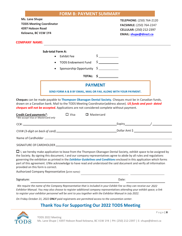### **FORM B: PAYMENT SUMMARY**

**Ms. Lane Shupe TODS Meeting Coordinator 4397 Hobson Road Kelowna, BC V1W 1Y4**

**TELEPHONE:** (250) 764-2120 **FACSIMILE:** (250) 764-2247 **CELLULAR:** (250) 212-2397 **EMAIL: shupe@direct.ca**

## **COMPANY NAME:**

#### **Sub-total Form A:**

- Exhibit Fee  $\zeta$
- TODS Endowment Fund \$
- Sponsorship Opportunity \$

**TOTAL: \$**

#### **PAYMENT**

**SEND FORM A & B BY EMAIL, MAIL OR FAX, ALONG WITH YOUR PAYMENT.**

**Cheques** can be made payable to **Thompson Okanagan Dental Society.** Cheques must be in Canadian funds, drawn on a Canadian bank. Mail to the TODS Meeting Coordinator(address above). *US funds and post- dated cheques will not be accepted.* Applications are not considered complete without payment.

| <b>Credit Card payments*:</b><br>*We accept Visa or Mastercard only | $\Box$ Visa | $\Box$ Mastercard |               |  |
|---------------------------------------------------------------------|-------------|-------------------|---------------|--|
|                                                                     |             |                   |               |  |
|                                                                     |             |                   | Dollar Amt \$ |  |
|                                                                     |             |                   |               |  |
| SIGNATURE OF CARDHOLDER                                             |             |                   |               |  |

 $\Box$  I, we hereby make application to lease from the Thompson Okanagan Dental Society, exhibit space to be assigned by the Society. By signing this document, I and our company representatives agree to abide by all rules and regulations governing the exhibition as printed in the *Exhibitor Guidelines and Conditions* enclosed in this application which forms part of this agreement. I/We acknowledge to have read and understood the said document and verify all information provided on this form is correct.

Authorized Company Representative *(print name):*

Signature: Date: Development of the contract of the contract of the contract of the contract of the contract of the contract of the contract of the contract of the contract of the contract of the contract of the contract o

*We require the name of the Company Representative that is included in your Exhibit Fee so they can receive our 2022 Exhibitor Manual. You may also choose to register additional company representatives attending your exhibit space; a link to register your exhibitor personnel will be sent to you together with the Exhibitor Manual in July 2022.*

*On Friday October 21, 2022 ONLY paid registrants are permitted access to the convention center.*

## **Thank You For Supporting Our 2022 TODS Meeting**

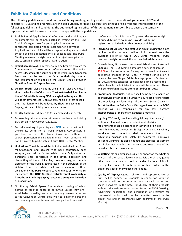# **Exhibitor Guidelines and Conditions**

The following guidelines and conditions of exhibiting are designed to give structure to the relationships between TODS and exhibitors. TODS and its organizers are the sole authority for resolving questions or issue arising from the interpretation of the following guidelines and conditions. The authorized signing officer of this Agreement is responsible to ensure the company representatives will be aware of and also comply with these guidelines.

- 1. **Exhibit Rental Applications:** Confirmation and exhibit space assignments will be communicated in writing by the TODS Exhibit Manager, Lane Shupe. Applications are not considered completed without accompanying payment. Applications for exhibits will be accepted and space allocated by date of paid application until all space is sold. The TODS Meeting reserves the right to accept or reject an application and to assign all exhibit space at its discretion.
- 2. **Exhibit access:** No display material can be brought through the front entrances of the resort or conference center. The services access is located at the south end of the Delta Grand Okanagan Resort and must be used to transfer all booth display materials and equipment or shipped via the Exhibit Display Provider, Showtime Event & Display Services.
- 3. **Display Booth:** Display booths are 8' x 8'. Displays must fit along the back wall of the space. T**he Fire Marshall has dictated that a 10-foot display may NOT be angled in the space.** This will be strictly enforced. Displays arriving on-site that exceed the 8-foot length will be reduced by ShowTime Event & Display, at the exhibiting company's expense.
- 4. **Display Tabletop:** is limited to 6' in length and 6' in depth.
- 5. **Dismantling:** All materials must be removed from the hotel by 8:00 pm on Friday October 21, 2022.
- 6. **Early dismantling** of your display is *NOT* permitted without the express permission of TODS Meeting Coordinator. If you chose to leave the Trade Show early without express permission the Exhibit Manager, your company will not be invited to participate in future TODS Dental Meetings.
- 7. **Limitations:** The right to exhibit is limited to individuals, firms, manufacturers, and dealers, who have contracted, been accepted, and paid in full for exhibit space. Only authorized personnel shall participate in the setup, operation and dismantling of the exhibits. Any violations may, at the sole discretion of the TODS Meeting result in the expulsion of the violator from the exhibit hall and convention without obligation by the TODS Meeting to refund fees or honor claims for damage. **The TODS Meeting restricts rental availability of 2 booths or 2 tabletop display spaces to a company, individual or association.**
- 8. **No Sharing Exhibit Space:** Absolutely no sharing of exhibit booths or tabletop space is permitted unless they are subsidiaries owned by one parent company. We restrict access to the Convention Centre exclusively to exhibitor personnel and company representatives that have paid and received

confirmation of exhibit space. **To protect the exclusive right of our exhibitors to do business we do not permit registration of individuals that are not exhibiting.**

- 9. **Failure to set up**, open and staff your exhibit during the times outlined in this document will result in removal from the invitation list of all future TODS Dental Meetings. TODS reserves the right to re-sell the unoccupied exhibit space.
- 10. **Cancellations, No Shows, Unmanned Exhibits and Returned Cheques:** The TODS Meeting assesses a service charge of **\$30.00** on cheques returned for any reason. We do not accept post-dated cheques or US Funds. If written cancellation is received by Lane Shupe, Exhibit Manager prior to September 15, 2022 and the cancelled exhibit space can be resold, the exhibit fees, less administration fees, will be returned. **There will be no refunds issued after September 15, 2022.**
- 11. **Promotional Materials**: Nothing shall be posted on, nailed on or otherwise attached to columns, walls, floors or other parts of the building and furnishings of the Delta Grand Okanagan Resort. Neither the Delta Grand Okanagan Resort nor the TODS Meeting will be responsible for any loss, damage disappearance or theft of any exhibitor's materials.
- 12. **Lighting:** TODS only provides ceiling lighting. Special and/or additional illumination of your exhibit and electrical requirements must be arranged in advance or on-site through Showtime Convention & Display. All electrical wiring, installation and connections shall be made at the exhibitor's expense and solely by designated, approved personnel. Illuminated display booths and electrical equipment on display must conform to the rules and regulations of the Canadian Standards Association.
- 13. **Subletting:** No exhibitor shall sublet, or apportion the whole or any part of the space allotted nor exhibit therein any goods other than those manufactured or handled by the exhibitor in the regular course of his business, or take orders in the exhibitors' space for any such other goods.
- 14. **Quality of Display:** Agents, solicitors, and representatives of firms selling commercial products in connection with the convention will not be permitted to use sample rooms and space elsewhere in the hotel for display of their products without prior written authorization from the TODS Meeting. Advertising, solicitation, and distribution of literature for commercial products will not be permitted except in the exhibit hall and in accordance with approval of the TODS Meeting.